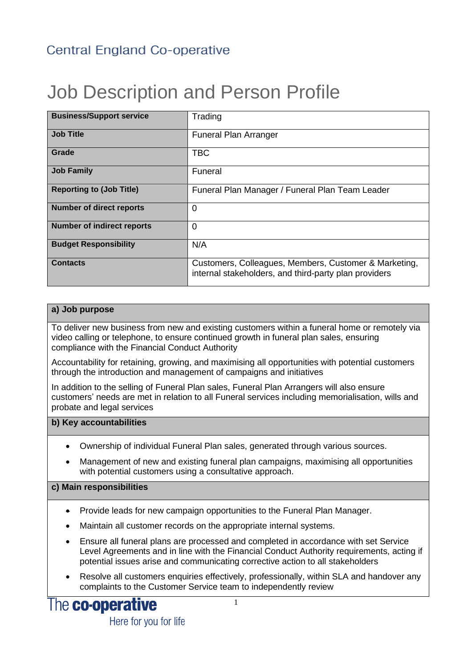# Job Description and Person Profile

| <b>Business/Support service</b>   | Trading                                                                                                        |
|-----------------------------------|----------------------------------------------------------------------------------------------------------------|
| <b>Job Title</b>                  | <b>Funeral Plan Arranger</b>                                                                                   |
| Grade                             | <b>TBC</b>                                                                                                     |
| <b>Job Family</b>                 | Funeral                                                                                                        |
| <b>Reporting to (Job Title)</b>   | Funeral Plan Manager / Funeral Plan Team Leader                                                                |
| <b>Number of direct reports</b>   | 0                                                                                                              |
| <b>Number of indirect reports</b> | $\Omega$                                                                                                       |
| <b>Budget Responsibility</b>      | N/A                                                                                                            |
| <b>Contacts</b>                   | Customers, Colleagues, Members, Customer & Marketing,<br>internal stakeholders, and third-party plan providers |

### **a) Job purpose**

To deliver new business from new and existing customers within a funeral home or remotely via video calling or telephone, to ensure continued growth in funeral plan sales, ensuring compliance with the Financial Conduct Authority

Accountability for retaining, growing, and maximising all opportunities with potential customers through the introduction and management of campaigns and initiatives

In addition to the selling of Funeral Plan sales, Funeral Plan Arrangers will also ensure customers' needs are met in relation to all Funeral services including memorialisation, wills and probate and legal services

### **b) Key accountabilities**

- Ownership of individual Funeral Plan sales, generated through various sources.
- Management of new and existing funeral plan campaigns, maximising all opportunities with potential customers using a consultative approach.

### **c) Main responsibilities**

- Provide leads for new campaign opportunities to the Funeral Plan Manager.
- Maintain all customer records on the appropriate internal systems.
- Ensure all funeral plans are processed and completed in accordance with set Service Level Agreements and in line with the Financial Conduct Authority requirements, acting if potential issues arise and communicating corrective action to all stakeholders
- Resolve all customers enquiries effectively, professionally, within SLA and handover any complaints to the Customer Service team to independently review

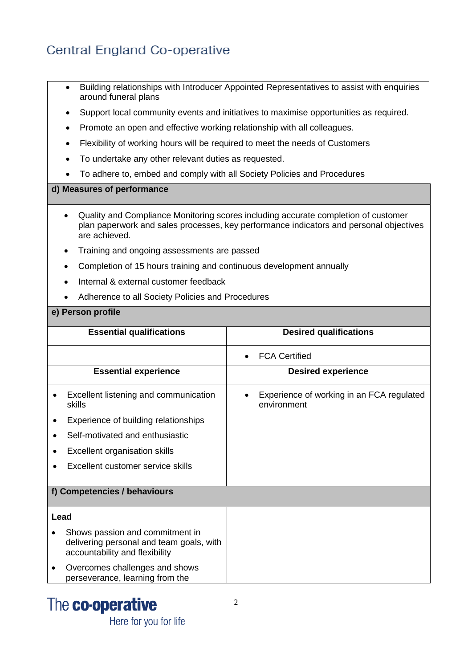# Central England Co-operative

- Building relationships with Introducer Appointed Representatives to assist with enquiries around funeral plans
- Support local community events and initiatives to maximise opportunities as required.
- Promote an open and effective working relationship with all colleagues.
- Flexibility of working hours will be required to meet the needs of Customers
- To undertake any other relevant duties as requested.
- To adhere to, embed and comply with all Society Policies and Procedures

### **d) Measures of performance**

- Quality and Compliance Monitoring scores including accurate completion of customer plan paperwork and sales processes, key performance indicators and personal objectives are achieved.
- Training and ongoing assessments are passed
- Completion of 15 hours training and continuous development annually
- Internal & external customer feedback
- Adherence to all Society Policies and Procedures

#### **e) Person profile**

|      | <b>Essential qualifications</b>                                                                               | <b>Desired qualifications</b>                            |
|------|---------------------------------------------------------------------------------------------------------------|----------------------------------------------------------|
|      |                                                                                                               | <b>FCA Certified</b>                                     |
|      | <b>Essential experience</b>                                                                                   | <b>Desired experience</b>                                |
|      | Excellent listening and communication<br>skills                                                               | Experience of working in an FCA regulated<br>environment |
|      | Experience of building relationships                                                                          |                                                          |
|      | Self-motivated and enthusiastic                                                                               |                                                          |
|      | Excellent organisation skills                                                                                 |                                                          |
|      | Excellent customer service skills                                                                             |                                                          |
|      |                                                                                                               |                                                          |
|      | f) Competencies / behaviours                                                                                  |                                                          |
| Lead |                                                                                                               |                                                          |
|      | Shows passion and commitment in<br>delivering personal and team goals, with<br>accountability and flexibility |                                                          |
|      | Overcomes challenges and shows<br>perseverance, learning from the                                             |                                                          |